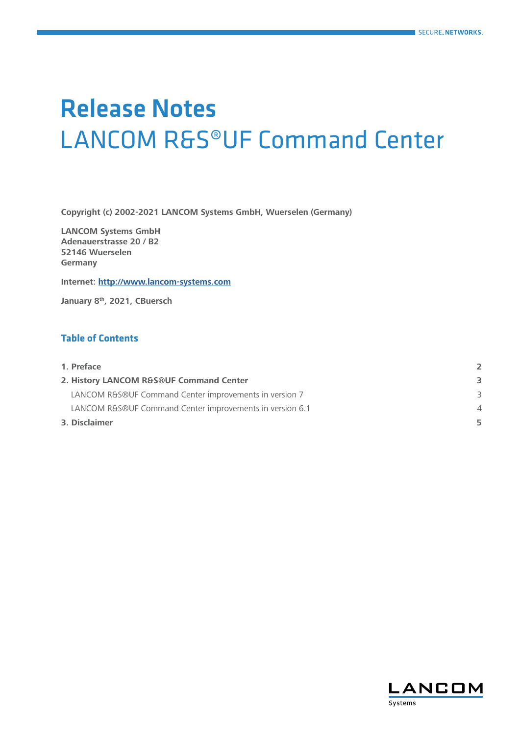# Release Notes LANCOM R&S®UF Command Center

**Copyright (c) 2002-2021 LANCOM Systems GmbH, Wuerselen (Germany)**

**LANCOM Systems GmbH Adenauerstrasse 20 / B2 52146 Wuerselen Germany**

**Internet: <http://www.lancom-systems.com>**

**January 8th, 2021, CBuersch**

## **Table of Contents**

| 1. Preface                                               |   |
|----------------------------------------------------------|---|
| 2. History LANCOM R&S®UF Command Center                  | 3 |
| LANCOM R&S®UF Command Center improvements in version 7   |   |
| LANCOM R&S®UF Command Center improvements in version 6.1 | 4 |
| 3. Disclaimer                                            | 5 |

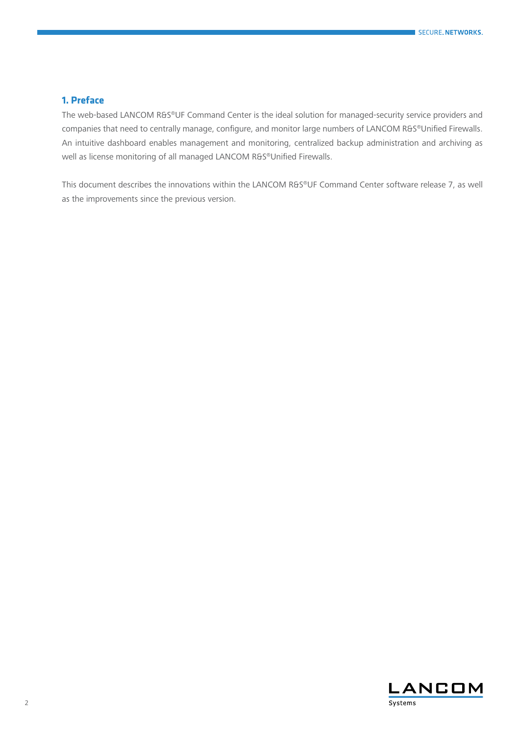## <span id="page-1-0"></span>**1. Preface**

The web-based LANCOM R&S®UF Command Center is the ideal solution for managed-security service providers and companies that need to centrally manage, configure, and monitor large numbers of LANCOM R&S®Unified Firewalls. An intuitive dashboard enables management and monitoring, centralized backup administration and archiving as well as license monitoring of all managed LANCOM R&S®Unified Firewalls.

This document describes the innovations within the LANCOM R&S®UF Command Center software release 7, as well as the improvements since the previous version.

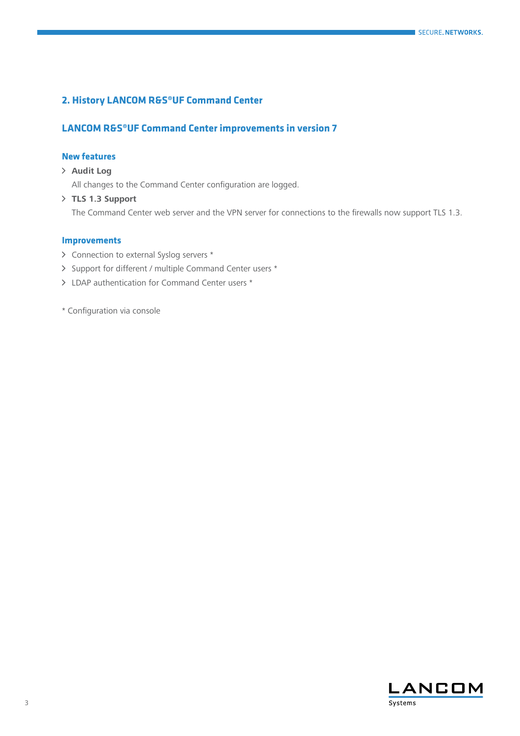## <span id="page-2-0"></span>**2. History LANCOM R&S®UF Command Center**

## **LANCOM R&S®UF Command Center improvements in version 7**

#### **New features**

# A **Audit Log**

All changes to the Command Center configuration are logged.

A **TLS 1.3 Support**  The Command Center web server and the VPN server for connections to the firewalls now support TLS 1.3.

#### **Improvements**

- > Connection to external Syslog servers \*
- > Support for different / multiple Command Center users \*
- > LDAP authentication for Command Center users \*
- \* Configuration via console

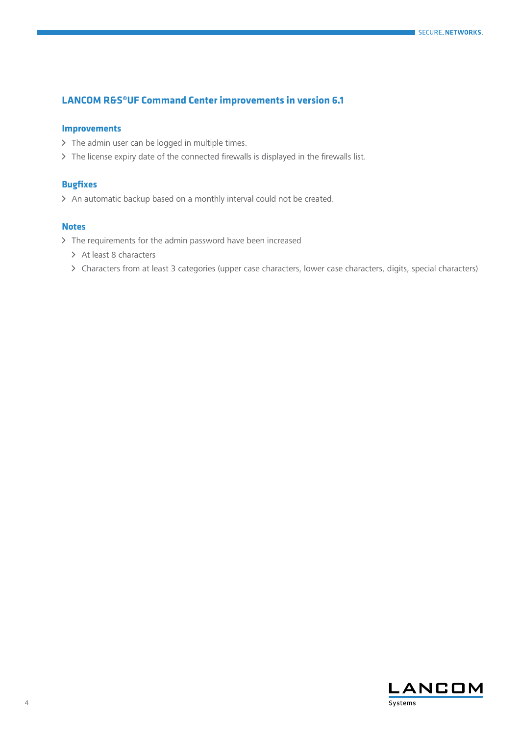## <span id="page-3-0"></span>**LANCOM R&S®UF Command Center improvements in version 6.1**

#### **Improvements**

- > The admin user can be logged in multiple times.
- > The license expiry date of the connected firewalls is displayed in the firewalls list.

#### **Bugfixes**

> An automatic backup based on a monthly interval could not be created.

#### **Notes**

- > The requirements for the admin password have been increased
	- $\geq$  At least 8 characters
	- > Characters from at least 3 categories (upper case characters, lower case characters, digits, special characters)